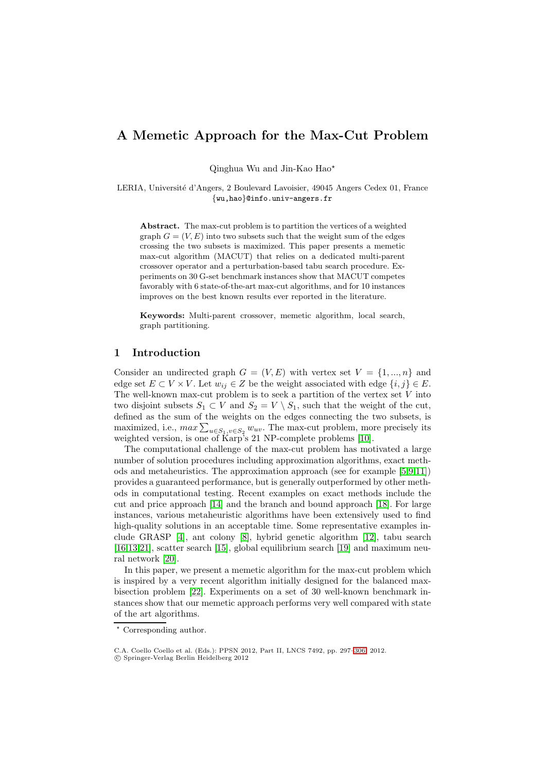# **A Memetic Approach for the Max-Cut Problem**

Qinghua Wu and Jin-Kao Hao\*

LERIA, Université d'Angers, 2 Boulevard Lavoisier, 49045 Angers Cedex 01, France {wu,hao}@info.univ-angers.fr

**Abstract.** The max-cut problem is to partition the vertices of a weighted graph  $G = (V, E)$  into two subsets such that the weight sum of the edges crossing the two subsets is maximized. This paper presents a memetic max-cut algorithm (MACUT) that relies on a dedicated multi-parent crossover operator and a perturbation-based tabu search procedure. Experiments on 30 G-set benchmark instances show that MACUT competes favorably with 6 state-of-the-art max-cut algorithms, and for 10 instances improves on the best known results ever reported in the literature.

**Keywords:** Multi-parent crossover, memetic algorithm, local search, graph partitioning.

# **1 Introduction**

Consider an undirected graph  $G = (V, E)$  with vertex set  $V = \{1, ..., n\}$  and edge set  $E \subset V \times V$ . Let  $w_{ij} \in Z$  be the weight associated with edge  $\{i, j\} \in E$ . The well-known max-cut problem is to seek a partition of the vertex set  $V$  into two disjoint subsets  $S_1 \subset V$  and  $S_2 = V \setminus S_1$ , such that the weight of the cut, defined as the sum of the weights on the edges connecting the two subsets, is maximized, i.e.,  $max \sum_{u \in S_1, v \in S_2} w_{uv}$ . The max-cut problem, more precisely its weighted version, is one of Karp's 21 NP-complete problems [\[10\]](#page-9-0).

The computational challenge of the max-cut problem has motivated a large number of solution procedures including approximation algorithms, exact methods and metaheuristics. The approximation approach (see for example [\[5,](#page-9-1)[9](#page-9-2)[,11\]](#page-9-3)) provides a guaranteed performance, but is generally outperformed by other methods in computational testing. Recent examples on exact methods include the cut and price approach [\[14\]](#page-9-4) and the branch and bound approach [\[18\]](#page-9-5). For large instances, various metaheuristic algorithms have been extensively used to find high-quality solutions in an acceptable time. Some representative examples include GRASP [\[4\]](#page-9-6), ant colony [\[8\]](#page-9-7), hybrid genetic algorithm [\[12\]](#page-9-8), tabu search [\[16,](#page-9-9)[13,](#page-9-10)[21\]](#page-9-11), scatter search [\[15\]](#page-9-12), global equilibrium search [\[19\]](#page-9-13) and maximum neural network [\[20\]](#page-9-14).

In this paper, we present a memetic algorithm for the max-cut problem which is inspired by a very recent algorithm initially designed for the balanced maxbisection problem [\[22\]](#page-9-15). Experiments on a set of 30 well-known benchmark instances show that our memetic approach performs very well compared with state of the art algorithms.

<sup>-</sup> Corresponding author.

C.A. Coello Coello et al. (Eds.): PPSN 2012, Part II, LNCS 7492, pp. 297[–306,](#page-8-0) 2012. c Springer-Verlag Berlin Heidelberg 2012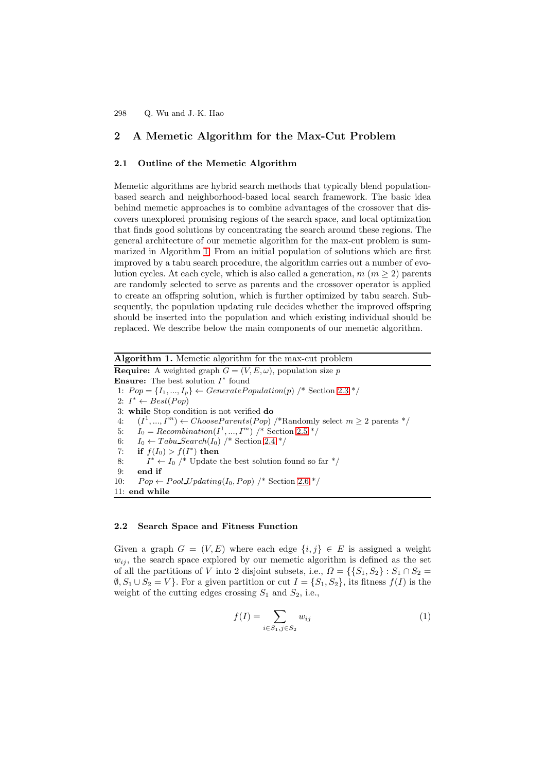# **2 A Memetic Algorithm for the Max-Cut Problem**

#### **2.1 Outline of the Memetic Algorithm**

Memetic algorithms are hybrid search methods that typically blend populationbased search and neighborhood-based local search framework. The basic idea behind memetic approaches is to combine advantages of the crossover that discovers unexplored promising regions of the search space, and local optimization that finds good solutions by concentrating the search around these regions. The general architecture of our memetic algorithm for the max-cut problem is summarized in Algorithm [1.](#page-1-0) From an initial population of solutions which are first improved by a tabu search procedure, the algorithm carries out a number of evolution cycles. At each cycle, which is also called a generation,  $m (m \geq 2)$  parents are randomly selected to serve as parents and the crossover operator is applied to create an offspring solution, which is further optimized by tabu search. Subsequently, the population updating rule decides whether the improved offspring should be inserted into the population and which existing individual should be replaced. We describe below the main components of our memetic algorithm.

**Algorithm 1.** Memetic algorithm for the max-cut problem

<span id="page-1-0"></span>**Require:** A weighted graph  $G = (V, E, \omega)$ , population size p **Ensure:** The best solution I<sup>∗</sup> found 1:  $Pop = \{I_1, ..., I_p\} \leftarrow GeneratePopulation(p)$  /\* Section [2.3](#page-2-0) \*/ 2:  $I^* \leftarrow Best(Pop)$ 3: **while** Stop condition is not verified **do** 4:  $(I^1, ..., I^m) \leftarrow ChooseParents(Pop)$  /\*Randomly select  $m \geq 2$  parents \*/ 5:  $I_0 = Recombination(I^1, ..., I^m)$  /\* Section [2.5](#page-4-0) \*/ 6:  $I_0 \leftarrow Tabu\_Search(I_0)$  /\* Section [2.4](#page-2-1) \*/ 7: **if**  $f(I_0) > f(I^*)$  **then** 8:  $I^* \leftarrow I_0$  /\* Update the best solution found so far \*/ 9: **end if** 10:  $Pop \leftarrow Pool\_Update(I_0, Pop)$  /\* Section [2.6](#page-5-0) \*/ 11: **end while**

### <span id="page-1-2"></span>**2.2 Search Space and Fitness Function**

Given a graph  $G = (V, E)$  where each edge  $\{i, j\} \in E$  is assigned a weight  $w_{ij}$ , the search space explored by our memetic algorithm is defined as the set of all the partitions of V into 2 disjoint subsets, i.e.,  $\Omega = \{S_1, S_2\} : S_1 \cap S_2 =$  $\emptyset, S_1 \cup S_2 = V$ . For a given partition or cut  $I = \{S_1, S_2\}$ , its fitness  $f(I)$  is the weight of the cutting edges crossing  $S_1$  and  $S_2$ , i.e.,

<span id="page-1-1"></span>
$$
f(I) = \sum_{i \in S_1, j \in S_2} w_{ij} \tag{1}
$$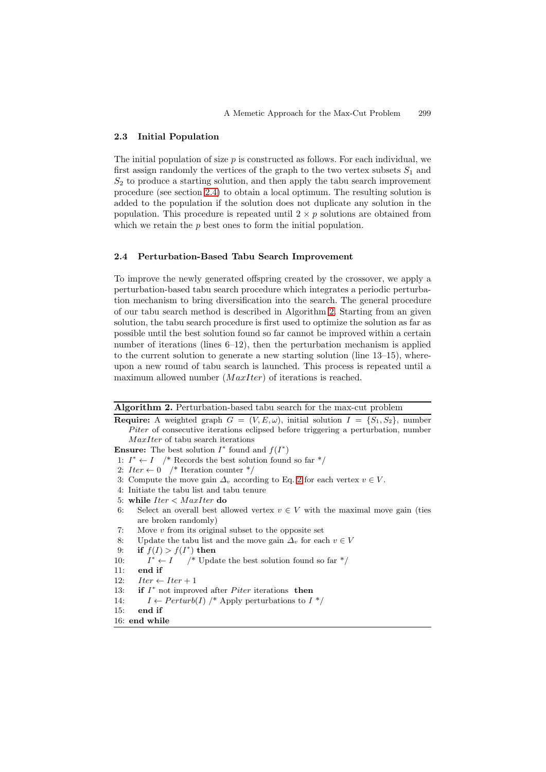### <span id="page-2-0"></span>**2.3 Initial Population**

The initial population of size  $p$  is constructed as follows. For each individual, we first assign randomly the vertices of the graph to the two vertex subsets  $S_1$  and  $S_2$  to produce a starting solution, and then apply the tabu search improvement procedure (see section [2.4\)](#page-2-1) to obtain a local optimum. The resulting solution is added to the population if the solution does not duplicate any solution in the population. This procedure is repeated until  $2 \times p$  solutions are obtained from which we retain the  $p$  best ones to form the initial population.

# <span id="page-2-1"></span>**2.4 Perturbation-Based Tabu Search Improvement**

To improve the newly generated offspring created by the crossover, we apply a perturbation-based tabu search procedure which integrates a periodic perturbation mechanism to bring diversification into the search. The general procedure of our tabu search method is described in Algorithm [2.](#page-2-2) Starting from an given solution, the tabu search procedure is first used to optimize the solution as far as possible until the best solution found so far cannot be improved within a certain number of iterations (lines 6–12), then the perturbation mechanism is applied to the current solution to generate a new starting solution (line 13–15), whereupon a new round of tabu search is launched. This process is repeated until a maximum allowed number  $(MaxIter)$  of iterations is reached.

| Algorithm 2. Perturbation-based tabu search for the max-cut problem |  |  |  |  |
|---------------------------------------------------------------------|--|--|--|--|
|---------------------------------------------------------------------|--|--|--|--|

<span id="page-2-2"></span>**Require:** A weighted graph  $G = (V, E, \omega)$ , initial solution  $I = \{S_1, S_2\}$ , number Piter of consecutive iterations eclipsed before triggering a perturbation, number MaxIter of tabu search iterations

**Ensure:** The best solution  $I^*$  found and  $f(I^*)$ 

- 1:  $I^* \leftarrow I$  /\* Records the best solution found so far \*/
- 2:  $Iter \leftarrow 0$  /\* Iteration counter \*/
- 3: Compute the move gain  $\Delta_v$  according to Eq. [2](#page-3-0) for each vertex  $v \in V$ .
- 4: Initiate the tabu list and tabu tenure
- 5: **while** Iter < MaxIter **do**
- 6: Select an overall best allowed vertex  $v \in V$  with the maximal move gain (ties are broken randomly)
- 7: Move  $v$  from its original subset to the opposite set
- 8: Update the tabu list and the move gain  $\Delta_v$  for each  $v \in V$
- 9: **if**  $f(I) > f(I^*)$  **then**
- 10:  $I^* \leftarrow I$  /\* Update the best solution found so far \*/
- 11: **end if**
- 12:  $Iter \leftarrow Iter + 1$
- 13: **if**  $I^*$  not improved after *Piter* iterations **then**
- 14:  $I \leftarrow Perturb(I)$  /\* Apply perturbations to  $I^*$ /
- 15: **end if**
- 16: **end while**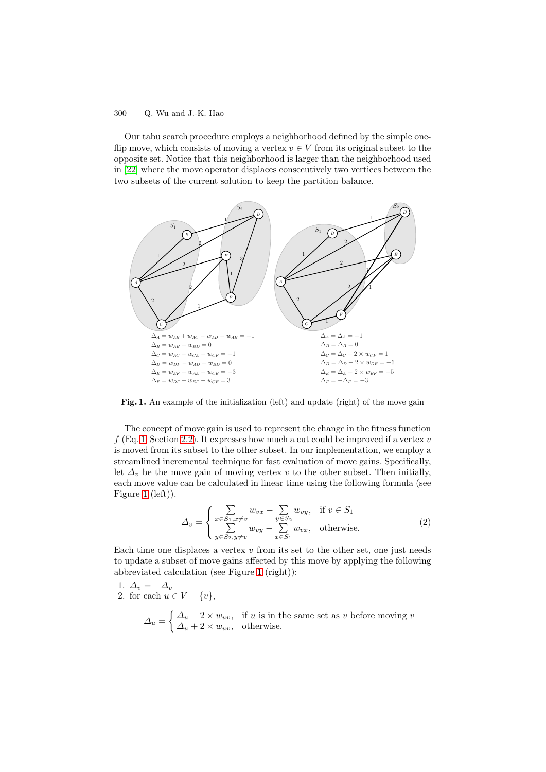Our tabu search procedure employs a neighborhood defined by the simple oneflip move, which consists of moving a vertex  $v \in V$  from its original subset to the opposite set. Notice that this neighborhood is larger than the neighborhood used in [\[22\]](#page-9-15) where the move operator displaces consecutively two vertices between the two subsets of the current solution to keep the partition balance.



<span id="page-3-1"></span>Fig. 1. An example of the initialization (left) and update (right) of the move gain

The concept of move gain is used to represent the change in the fitness function  $f(Eq. 1, Section 2.2)$  $f(Eq. 1, Section 2.2)$  $f(Eq. 1, Section 2.2)$  $f(Eq. 1, Section 2.2)$ . It expresses how much a cut could be improved if a vertex v is moved from its subset to the other subset. In our implementation, we employ a streamlined incremental technique for fast evaluation of move gains. Specifically, let  $\Delta_v$  be the move gain of moving vertex v to the other subset. Then initially, each move value can be calculated in linear time using the following formula (see Figure [1](#page-3-1) (left)).

<span id="page-3-0"></span>
$$
\Delta_v = \begin{cases}\n\sum_{x \in S_1, x \neq v} w_{vx} - \sum_{y \in S_2} w_{vy}, & \text{if } v \in S_1 \\
\sum_{y \in S_2, y \neq v} w_{vy} - \sum_{x \in S_1} w_{vx}, & \text{otherwise.} \n\end{cases}
$$
\n(2)

Each time one displaces a vertex  $v$  from its set to the other set, one just needs to update a subset of move gains affected by this move by applying the following abbreviated calculation (see Figure [1](#page-3-1) (right)):

- 1.  $\Delta_v = -\Delta_v$
- 2. for each  $u \in V \{v\},\$

 $\Delta_u = \begin{cases} \Delta_u - 2 \times w_{uv}, & \text{if } u \text{ is in the same set as } v \text{ before moving } v \\ \Delta_u + 2 \times w_{uv}, & \text{otherwise.} \end{cases}$  $\Delta_u + 2 \times w_{uv}$ , otherwise.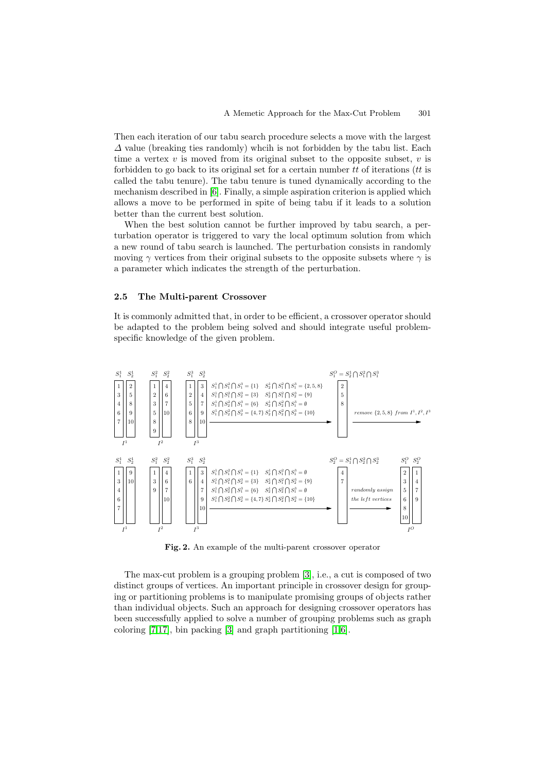Then each iteration of our tabu search procedure selects a move with the largest  $\Delta$  value (breaking ties randomly) which is not forbidden by the tabu list. Each time a vertex  $v$  is moved from its original subset to the opposite subset,  $v$  is forbidden to go back to its original set for a certain number  $tt$  of iterations ( $tt$  is called the tabu tenure). The tabu tenure is tuned dynamically according to the mechanism described in [\[6\]](#page-9-16). Finally, a simple aspiration criterion is applied which allows a move to be performed in spite of being tabu if it leads to a solution better than the current best solution.

When the best solution cannot be further improved by tabu search, a perturbation operator is triggered to vary the local optimum solution from which a new round of tabu search is launched. The perturbation consists in randomly moving  $\gamma$  vertices from their original subsets to the opposite subsets where  $\gamma$  is a parameter which indicates the strength of the perturbation.

# <span id="page-4-0"></span>**2.5 The Multi-parent Crossover**

It is commonly admitted that, in order to be efficient, a crossover operator should be adapted to the problem being solved and should integrate useful problemspecific knowledge of the given problem.



<span id="page-4-1"></span>**Fig. 2.** An example of the multi-parent crossover operator

The max-cut problem is a grouping problem [\[3\]](#page-8-1), i.e., a cut is composed of two distinct groups of vertices. An important principle in crossover design for grouping or partitioning problems is to manipulate promising groups of objects rather than individual objects. Such an approach for designing crossover operators has been successfully applied to solve a number of grouping problems such as graph coloring  $[7,17]$  $[7,17]$ , bin packing  $[3]$  and graph partitioning  $[1,6]$  $[1,6]$ .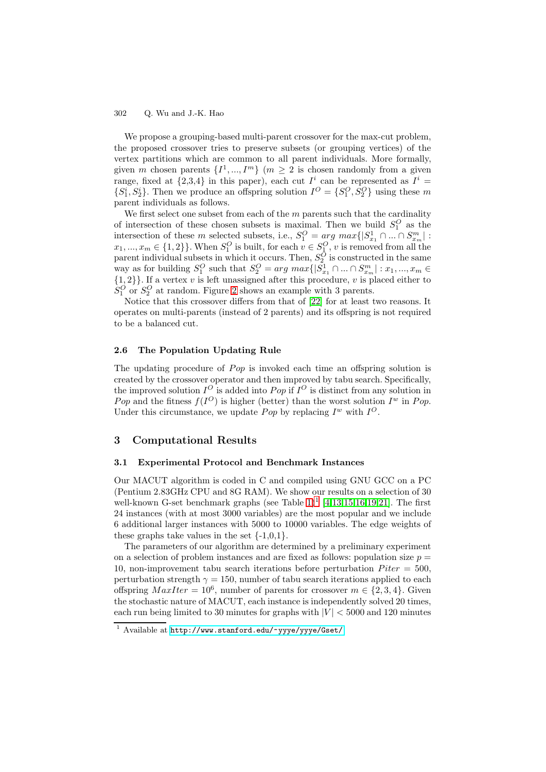We propose a grouping-based multi-parent crossover for the max-cut problem, the proposed crossover tries to preserve subsets (or grouping vertices) of the vertex partitions which are common to all parent individuals. More formally, given m chosen parents  $\{I^1, ..., I^m\}$  ( $m \geq 2$  is chosen randomly from a given range, fixed at  $\{2,3,4\}$  in this paper), each cut  $I^i$  can be represented as  $I^i$  =  $\{S_1^i, S_2^i\}$ . Then we produce an offspring solution  $I^O = \{S_1^O, S_2^O\}$  using these m parent individuals as follows.

We first select one subset from each of the  $m$  parents such that the cardinality of intersection of these chosen subsets is maximal. Then we build  $S_1^O$  as the intersection of these m selected subsets, i.e.,  $S_1^O = arg max\{|S_{x_1}^1 \cap ... \cap S_{x_m}^m| :$ <br> $x_1, ..., x_m \in \{1, 2\}\}\.$  When  $S_1^O$  is built, for each  $v \in S_1^O$ , v is removed from all the parent individual subsets in which it occurs. Then,  $S_2^O$  is constructed in the same way as for building  $S_1^O$  such that  $S_2^O = arg max\{|S_{x_1}^1 \cap ... \cap S_{x_m}^m| : x_1, ..., x_m \in \{1,2\}\}\.$  If a vertex v is left unassigned after this procedure, v is placed either to  $S_1^O$  or  $S_2^O$  at random. Figure [2](#page-4-1) shows an example with 3 parents.

Notice that this crossover differs from that of [\[22\]](#page-9-15) for at least two reasons. It operates on multi-parents (instead of 2 parents) and its offspring is not required to be a balanced cut.

# <span id="page-5-0"></span>**2.6 The Population Updating Rule**

The updating procedure of  $Pop$  is invoked each time an offspring solution is created by the crossover operator and then improved by tabu search. Specifically, the improved solution  $I^O$  is added into Pop if  $I^O$  is distinct from any solution in Pop and the fitness  $f(I^O)$  is higher (better) than the worst solution  $I^w$  in Pop. Under this circumstance, we update *Pop* by replacing  $I^w$  with  $I^O$ .

# **3 Computational Results**

#### **3.1 Experimental Protocol and Benchmark Instances**

Our MACUT algorithm is coded in C and compiled using GNU GCC on a PC (Pentium 2.83GHz CPU and 8G RAM). We show our results on a selection of 30 well-known G-set benchmark graphs (see Table  $1$ )<sup>1</sup> [\[4,](#page-9-6)[13](#page-9-10)[,15,](#page-9-12)[16](#page-9-9)[,19](#page-9-13)[,21\]](#page-9-11). The first 24 instances (with at most 3000 variables) are the most popular and we include 6 additional larger instances with 5000 to 10000 variables. The edge weights of these graphs take values in the set  $\{-1,0,1\}$ .

The parameters of our algorithm are determined by a preliminary experiment on a selection of problem instances and are fixed as follows: population size  $p =$ 10, non-improvement tabu search iterations before perturbation  $Piter = 500$ . perturbation strength  $\gamma = 150$ , number of tabu search iterations applied to each offspring  $MaxIter = 10^6$ , number of parents for crossover  $m \in \{2, 3, 4\}$ . Given the stochastic nature of MACUT, each instance is independently solved 20 times, each run being limited to 30 minutes for graphs with  $|V| < 5000$  and 120 minutes

<span id="page-5-1"></span><sup>1</sup> Available at <http://www.stanford.edu/~yyye/yyye/Gset/>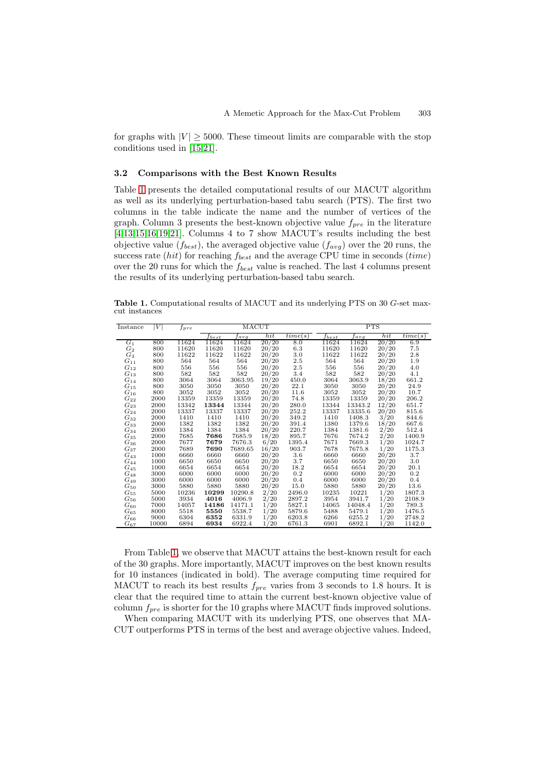for graphs with  $|V| \geq 5000$ . These timeout limits are comparable with the stop conditions used in [\[15,](#page-9-12)[21\]](#page-9-11).

### **3.2 Comparisons with the Best Known Results**

Table [1](#page-6-0) presents the detailed computational results of our MACUT algorithm as well as its underlying perturbation-based tabu search (PTS). The first two columns in the table indicate the name and the number of vertices of the graph. Column 3 presents the best-known objective value  $f_{pre}$  in the literature [\[4,](#page-9-6)[13,](#page-9-10)[15,](#page-9-12)[16](#page-9-9)[,19,](#page-9-13)[21\]](#page-9-11). Columns 4 to 7 show MACUT's results including the best objective value  $(f_{best})$ , the averaged objective value  $(f_{avg})$  over the 20 runs, the success rate (hit) for reaching  $f_{best}$  and the average CPU time in seconds (time) over the 20 runs for which the  $f_{best}$  value is reached. The last 4 columns present the results of its underlying perturbation-based tabu search.

<span id="page-6-0"></span>**Table 1.** Computational results of MACUT and its underlying PTS on 30 G-set maxcut instances

| Instance           | V     | $f_{pre}$ | MACUT         |         |       |         |                 | PTS     |       |         |  |
|--------------------|-------|-----------|---------------|---------|-------|---------|-----------------|---------|-------|---------|--|
|                    |       |           | $_{\it best}$ | tavq    | hit   | time(s) | $_{\it{fbest}}$ | tavq    | hit   | time(s) |  |
| $G_1$              | 800   | 11624     | 11624         | 11624   | 20/20 | 8.0     | 11624           | 11624   | 20/20 | 6.9     |  |
| $G_2$              | 800   | 11620     | 11620         | 11620   | 20/20 | 6.3     | 11620           | 11620   | 20/20 | $7.5\,$ |  |
| $G_3$              | 800   | 11622     | 11622         | 11622   | 20/20 | 3.0     | 11622           | 11622   | 20/20 | 2.8     |  |
| $G_{11}$           | 800   | 564       | 564           | 564     | 20/20 | $2.5\,$ | 564             | 564     | 20/20 | 1.9     |  |
| $G_{12}$           | 800   | 556       | 556           | 556     | 20/20 | 2.5     | 556             | 556     | 20/20 | 4.0     |  |
| $G_{13}$           | 800   | 582       | 582           | 582     | 20/20 | 3.4     | 582             | 582     | 20/20 | 4.1     |  |
| $G_{14}$           | 800   | 3064      | 3064          | 3063.95 | 19/20 | 450.0   | 3064            | 3063.9  | 18/20 | 661.2   |  |
| $G_{15}$           | 800   | 3050      | 3050          | 3050    | 20/20 | 22.1    | 3050            | 3050    | 20/20 | 24.9    |  |
| $G_{16}$           | 800   | 3052      | 3052          | 3052    | 20/20 | 11.6    | 3052            | 3052    | 20/20 | 10.7    |  |
| $G_{22}$           | 2000  | 13359     | 13359         | 13359   | 20/20 | 74.8    | 13359           | 13359   | 20/20 | 206.2   |  |
| $G_{23}$           | 2000  | 13342     | 13344         | 13344   | 20/20 | 280.0   | 13344           | 13343.2 | 12/20 | 651.7   |  |
| $G_{24}$           | 2000  | 13337     | 13337         | 13337   | 20/20 | 252.2   | 13337           | 13335.6 | 20/20 | 815.6   |  |
| $G_{32}$           | 2000  | 1410      | 1410          | 1410    | 20/20 | 349.2   | 1410            | 1408.3  | 3/20  | 844.6   |  |
| $\mathcal{G}_{33}$ | 2000  | 1382      | 1382          | 1382    | 20/20 | 391.4   | 1380            | 1379.6  | 18/20 | 667.6   |  |
| $G_{34}$           | 2000  | 1384      | 1384          | 1384    | 20/20 | 220.7   | 1384            | 1381.6  | 2/20  | 512.4   |  |
| $G_{35}$           | 2000  | 7685      | 7686          | 7685.9  | 18/20 | 895.7   | 7676            | 7674.2  | 2/20  | 1400.9  |  |
| $G_{36}$           | 2000  | 7677      | 7679          | 7676.3  | 6/20  | 1395.4  | 7671            | 7669.3  | 1/20  | 1024.7  |  |
| $G_{37}$           | 2000  | 7689      | 7690          | 7689.65 | 16/20 | 903.7   | 7678            | 7675.8  | 1/20  | 1175.3  |  |
| $G_{43}$           | 1000  | 6660      | 6660          | 6660    | 20/20 | 3.6     | 6660            | 6660    | 20/20 | 3.7     |  |
| $G_{44}$           | 1000  | 6650      | 6650          | 6650    | 20/20 | $3.7\,$ | 6650            | 6650    | 20/20 | 3.0     |  |
| $G_{45}$           | 1000  | 6654      | 6654          | 6654    | 20/20 | 18.2    | 6654            | 6654    | 20/20 | 20.1    |  |
| $G_{48}$           | 3000  | 6000      | 6000          | 6000    | 20/20 | 0.2     | 6000            | 6000    | 20/20 | 0.2     |  |
| $G_{49}$           | 3000  | 6000      | 6000          | 6000    | 20/20 | 0.4     | 6000            | 6000    | 20/20 | 0.4     |  |
| $G_{50}$           | 3000  | 5880      | 5880          | 5880    | 20/20 | 15.0    | 5880            | 5880    | 20/20 | 13.6    |  |
| ${\cal G}_{55}$    | 5000  | 10236     | 10299         | 10290.8 | 2/20  | 2496.0  | 10235           | 10221   | 1/20  | 1807.3  |  |
| $G_{56}$           | 5000  | 3934      | 4016          | 4006.9  | 2/20  | 2897.2  | 3954            | 3941.7  | 1/20  | 2108.9  |  |
| $G_{60}$           | 7000  | 14057     | 14186         | 14171.1 | 1/20  | 5827.1  | 14065           | 14048.4 | 1/20  | 789.3   |  |
| $G_{65}$           | 8000  | 5518      | 5550          | 5538.7  | 1/20  | 5879.6  | 5488            | 5479.1  | 1/20  | 1476.5  |  |
| $G_{66}$           | 9000  | 6304      | 6352          | 6331.9  | 1/20  | 6203.8  | 6266            | 6255.2  | 1/20  | 2748.2  |  |
| $G_{67}$           | 10000 | 6894      | 6934          | 6922.4  | 1/20  | 6761.3  | 6901            | 6892.1  | 1/20  | 1142.0  |  |

From Table [1,](#page-6-0) we observe that MACUT attains the best-known result for each of the 30 graphs. More importantly, MACUT improves on the best known results for 10 instances (indicated in bold). The average computing time required for MACUT to reach its best results  $f_{pre}$  varies from 3 seconds to 1.8 hours. It is clear that the required time to attain the current best-known objective value of column  $f_{pre}$  is shorter for the 10 graphs where MACUT finds improved solutions.

When comparing MACUT with its underlying PTS, one observes that MA-CUT outperforms PTS in terms of the best and average objective values. Indeed,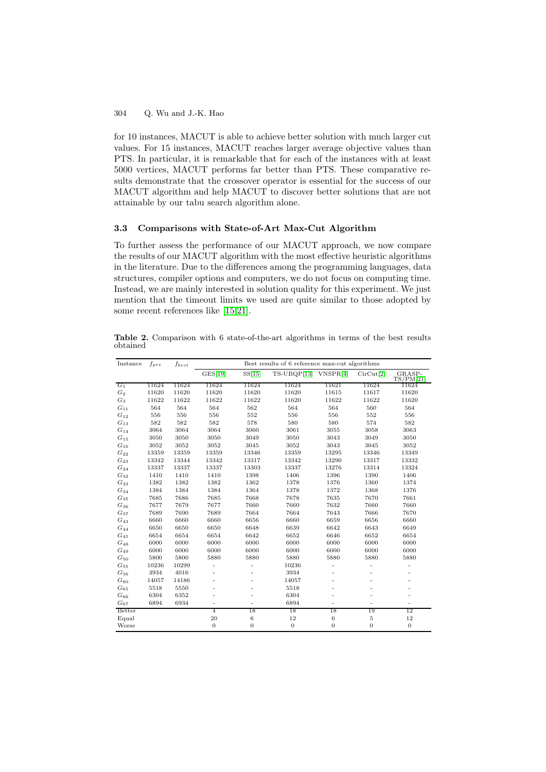for 10 instances, MACUT is able to achieve better solution with much larger cut values. For 15 instances, MACUT reaches larger average objective values than PTS. In particular, it is remarkable that for each of the instances with at least 5000 vertices, MACUT performs far better than PTS. These comparative results demonstrate that the crossover operator is essential for the success of our MACUT algorithm and help MACUT to discover better solutions that are not attainable by our tabu search algorithm alone.

#### **3.3 Comparisons with State-of-Art Max-Cut Algorithm**

To further assess the performance of our MACUT approach, we now compare the results of our MACUT algorithm with the most effective heuristic algorithms in the literature. Due to the differences among the programming languages, data structures, compiler options and computers, we do not focus on computing time. Instead, we are mainly interested in solution quality for this experiment. We just mention that the timeout limits we used are quite similar to those adopted by some recent references like [\[15](#page-9-12)[,21\]](#page-9-11).

<span id="page-7-0"></span>**Table 2.** Comparison with 6 state-of-the-art algorithms in terms of the best results obtained

| Instance           | $f_{pre}$ | $\mathfrak{f}_{best}$ | Best results of 6 reference max-cut algorithms |                |              |                              |                |                          |  |
|--------------------|-----------|-----------------------|------------------------------------------------|----------------|--------------|------------------------------|----------------|--------------------------|--|
|                    |           |                       | GES[19]                                        | SS[15]         | TS-UBQP[13]  | VNSPR[4]                     | Circut[2]      | $GRASP-TS/PM[21]$        |  |
| $G_1$              | 11624     | 11624                 | 11624                                          | 11624          | 11624        | 11621                        | 11624          | 11624                    |  |
| $G_2$              | 11620     | 11620                 | 11620                                          | 11620          | 11620        | 11615                        | 11617          | 11620                    |  |
| $G_3$              | 11622     | 11622                 | 11622                                          | 11622          | 11620        | 11622                        | 11622          | 11620                    |  |
| $G_{11}$           | 564       | 564                   | 564                                            | 562            | 564          | 564                          | 560            | 564                      |  |
| $G_{12}$           | 556       | 556                   | 556                                            | 552            | 556          | 556                          | 552            | 556                      |  |
| $G_{13}$           | 582       | 582                   | 582                                            | 578            | 580          | 580                          | 574            | 582                      |  |
| $G_{14}$           | 3064      | 3064                  | 3064                                           | 3060           | 3061         | 3055                         | 3058           | 3063                     |  |
| $G_{15}$           | 3050      | 3050                  | 3050                                           | 3049           | 3050         | 3043                         | 3049           | 3050                     |  |
| $G_{16}$           | 3052      | 3052                  | 3052                                           | 3045           | 3052         | 3043                         | 3045           | 3052                     |  |
| $G_{22}$           | 13359     | 13359                 | 13359                                          | 13346          | 13359        | 13295                        | 13346          | 13349                    |  |
| $G_{23}$           | 13342     | 13344                 | 13342                                          | 13317          | 13342        | 13290                        | 13317          | 13332                    |  |
| $G_{24}$           | 13337     | 13337                 | 13337                                          | 13303          | 13337        | 13276                        | 13314          | 13324                    |  |
| $G_{32}$           | 1410      | 1410                  | 1410                                           | 1398           | 1406         | 1396                         | 1390           | 1406                     |  |
| ${\cal G}_{33}$    | 1382      | 1382                  | 1382                                           | 1362           | 1378         | 1376                         | 1360           | 1374                     |  |
| $G_{34}$           | 1384      | 1384                  | 1384                                           | 1364           | 1378         | 1372                         | 1368           | 1376                     |  |
| $G_{35}$           | 7685      | 7686                  | 7685                                           | 7668           | 7678         | 7635                         | 7670           | 7661                     |  |
| $G_{36}$           | 7677      | 7679                  | 7677                                           | 7660           | 7660         | 7632                         | 7660           | 7660                     |  |
| $G_{37}$           | 7689      | 7690                  | 7689                                           | 7664           | 7664         | 7643                         | 7666           | 7670                     |  |
| $G_{43}$           | 6660      | 6660                  | 6660                                           | 6656           | 6660         | 6659                         | 6656           | 6660                     |  |
| $G_{44}$           | 6650      | 6650                  | 6650                                           | 6648           | 6639         | 6642                         | 6643           | 6649                     |  |
| $\mathcal{G}_{45}$ | 6654      | 6654                  | 6654                                           | 6642           | 6652         | 6646                         | 6652           | 6654                     |  |
| $G_{48}$           | 6000      | 6000                  | 6000                                           | 6000           | 6000         | 6000                         | 6000           | 6000                     |  |
| $G_{49}$           | 6000      | 6000                  | 6000                                           | 6000           | 6000         | 6000                         | 6000           | 6000                     |  |
| $G_{50}$           | 5800      | 5800                  | 5880                                           | 5880           | 5880         | 5880                         | 5880           | 5880                     |  |
| $G_{55}$           | 10236     | 10299                 | $\overline{a}$                                 | $\overline{a}$ | 10236        | $\qquad \qquad \blacksquare$ | $\overline{a}$ |                          |  |
| $G_{56}$           | 3934      | 4016                  | $\overline{\phantom{0}}$                       |                | 3934         | $\overline{\phantom{0}}$     | $\overline{a}$ |                          |  |
| $G_{60}$           | 14057     | 14186                 | $\overline{a}$                                 |                | 14057        | $\overline{\phantom{0}}$     |                |                          |  |
| $G_{65}$           | 5518      | 5550                  | $\overline{a}$                                 |                | 5518         |                              |                |                          |  |
| $G_{66}$           | 6304      | 6352                  | ٠                                              |                | 6304         |                              |                |                          |  |
| $G_{67}$           | 6894      | 6934                  | $\overline{a}$                                 |                | 6894         | $\overline{\phantom{0}}$     |                | $\overline{\phantom{0}}$ |  |
| Better             |           |                       | 4                                              | 18             | 18           | 18                           | 19             | 12                       |  |
| Equal              |           |                       | 20                                             | $\,6$          | 12           | 6                            | $\sqrt{5}$     | 12                       |  |
| Worse              |           |                       | $\theta$                                       | $\overline{0}$ | $\mathbf{0}$ | $\boldsymbol{0}$             | $\overline{0}$ | $\boldsymbol{0}$         |  |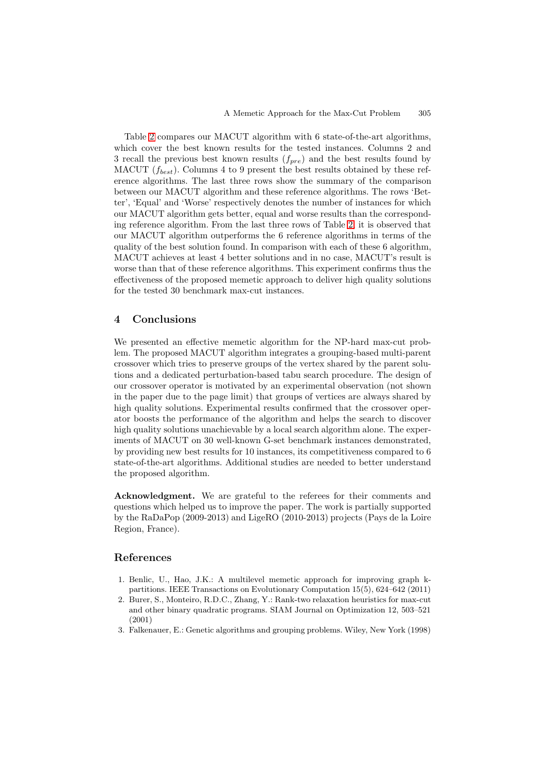Table [2](#page-7-0) compares our MACUT algorithm with 6 state-of-the-art algorithms, which cover the best known results for the tested instances. Columns 2 and 3 recall the previous best known results  $(f_{pre})$  and the best results found by MACUT ( $f_{best}$ ). Columns 4 to 9 present the best results obtained by these reference algorithms. The last three rows show the summary of the comparison between our MACUT algorithm and these reference algorithms. The rows 'Better', 'Equal' and 'Worse' respectively denotes the number of instances for which our MACUT algorithm gets better, equal and worse results than the corresponding reference algorithm. From the last three rows of Table [2,](#page-7-0) it is observed that our MACUT algorithm outperforms the 6 reference algorithms in terms of the quality of the best solution found. In comparison with each of these 6 algorithm, MACUT achieves at least 4 better solutions and in no case, MACUT's result is worse than that of these reference algorithms. This experiment confirms thus the effectiveness of the proposed memetic approach to deliver high quality solutions for the tested 30 benchmark max-cut instances.

# **4 Conclusions**

We presented an effective memetic algorithm for the NP-hard max-cut problem. The proposed MACUT algorithm integrates a grouping-based multi-parent crossover which tries to preserve groups of the vertex shared by the parent solutions and a dedicated perturbation-based tabu search procedure. The design of our crossover operator is motivated by an experimental observation (not shown in the paper due to the page limit) that groups of vertices are always shared by high quality solutions. Experimental results confirmed that the crossover operator boosts the performance of the algorithm and helps the search to discover high quality solutions unachievable by a local search algorithm alone. The experiments of MACUT on 30 well-known G-set benchmark instances demonstrated, by providing new best results for 10 instances, its competitiveness compared to 6 state-of-the-art algorithms. Additional studies are needed to better understand the proposed algorithm.

**Acknowledgment.** We are grateful to the referees for their comments and questions which helped us to improve the paper. The work is partially supported by the RaDaPop (2009-2013) and LigeRO (2010-2013) projects (Pays de la Loire Region, France).

# <span id="page-8-0"></span>**References**

- <span id="page-8-2"></span>1. Benlic, U., Hao, J.K.: A multilevel memetic approach for improving graph kpartitions. IEEE Transactions on Evolutionary Computation 15(5), 624–642 (2011)
- <span id="page-8-3"></span>2. Burer, S., Monteiro, R.D.C., Zhang, Y.: Rank-two relaxation heuristics for max-cut and other binary quadratic programs. SIAM Journal on Optimization 12, 503–521 (2001)
- <span id="page-8-1"></span>3. Falkenauer, E.: Genetic algorithms and grouping problems. Wiley, New York (1998)